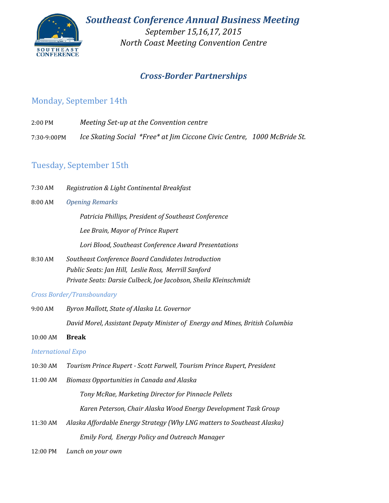

*September 15,16,17, 2015 North Coast Meeting Convention Centre*

## *Cross-Border Partnerships*

## Monday, September 14th

- 2:00 PM *Meeting Set-up at the Convention centre*
- *Ice Skating Social \*Free\* at Jim Ciccone Civic Centre, 1000 McBride St.* 7:30-9:00PM

## Tuesday, September 15th

7:30 AM *Registration & Light Continental Breakfast*

#### 8:00 AM *Opening Remarks*

*Patricia Phillips, President of Southeast Conference Lee Brain, Mayor of Prince Rupert*

*Lori Blood, Southeast Conference Award Presentations*

8:30 AM *Public Seats: Jan Hill, Leslie Ross, Merrill Sanford Private Seats: Darsie Culbeck, Joe Jacobson, Sheila Kleinschmidt Southeast Conference Board Candidates Introduction*

### *Cross Border/Transboundary*

- 9:00 AM *Byron Mallott, State of Alaska Lt. Governor David Morel, Assistant Deputy Minister of Energy and Mines, British Columbia*
- 10:00 AM **Break**

### *International Expo*

- 10:30 AM *Tourism Prince Rupert - Scott Farwell, Tourism Prince Rupert, President*
- 11:00 AM *Tony McRae, Marketing Director for Pinnacle Pellets Karen Peterson, Chair Alaska Wood Energy Development Task Group Biomass Opportunities in Canada and Alaska*
- 11:30 AM *Emily Ford, Energy Policy and Outreach Manager Alaska Affordable Energy Strategy (Why LNG matters to Southeast Alaska)*
- 12:00 PM *Lunch on your own*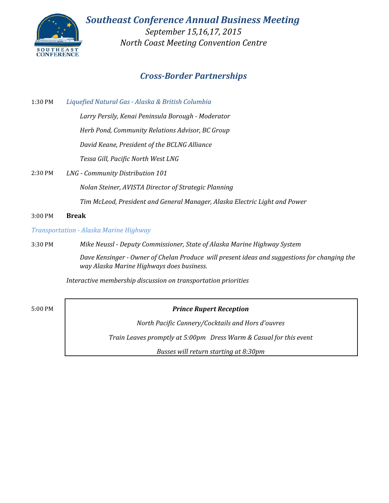

*September 15,16,17, 2015 North Coast Meeting Convention Centre*

## *Cross-Border Partnerships*

1:30 PM *Liquefied Natural Gas - Alaska & British Columbia*

> *Larry Persily, Kenai Peninsula Borough - Moderator Herb Pond, Community Relations Advisor, BC Group David Keane, President of the BCLNG Alliance*

*Tessa Gill, Pacific North West LNG* 

2:30 PM *LNG - Community Distribution 101*

*Nolan Steiner, AVISTA Director of Strategic Planning*

*Tim McLeod, President and General Manager, Alaska Electric Light and Power*

3:00 PM **Break**

*Transportation - Alaska Marine Highway*

3:30 PM *Mike Neussl - Deputy Commissioner, State of Alaska Marine Highway System*

*Dave Kensinger - Owner of Chelan Produce will present ideas and suggestions for changing the way Alaska Marine Highways does business.* 

*Interactive membership discussion on transportation priorities*

### 5:00 PM *Prince Rupert Reception*

*North Pacific Cannery/Cocktails and Hors d'ouvres*

*Train Leaves promptly at 5:00pm Dress Warm & Casual for this event*

*Busses will return starting at 8:30pm*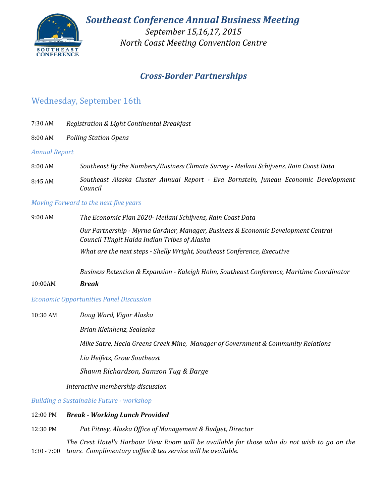

*September 15,16,17, 2015 North Coast Meeting Convention Centre*

## *Cross-Border Partnerships*

### Wednesday, September 16th

- 7:30 AM *Registration & Light Continental Breakfast*
- 8:00 AM *Polling Station Opens*

#### *Annual Report*

- 8:00 AM *Southeast By the Numbers/Business Climate Survey Meilani Schijvens, Rain Coast Data*
- 8:45 AM *Southeast Alaska Cluster Annual Report - Eva Bornstein, Juneau Economic Development Council*

#### *Moving Forward to the next five years*

| 9:00 AM | The Economic Plan 2020- Meilani Schijvens, Rain Coast Data                                                                         |
|---------|------------------------------------------------------------------------------------------------------------------------------------|
|         | Our Partnership - Myrna Gardner, Manager, Business & Economic Development Central<br>Council Tlingit Haida Indian Tribes of Alaska |
|         | What are the next steps - Shelly Wright, Southeast Conference, Executive                                                           |
|         | Business Retention & Expansion - Kaleigh Holm, Southeast Conference, Maritime Coordinator                                          |

10:00AM *Break*

#### *Economic Opportunities Panel Discussion*

#### 10:30 AM *Doug Ward, Vigor Alaska*

*Brian Kleinhenz, Sealaska*

*Mike Satre, Hecla Greens Creek Mine, Manager of Government & Community Relations*

*Lia Heifetz, Grow Southeast*

*Shawn Richardson, Samson Tug & Barge*

*Interactive membership discussion*

*Building a Sustainable Future - workshop*

#### 12:00 PM *Break - Working Lunch Provided*

12:30 PM *Pat Pitney, Alaska Office of Management & Budget, Director*

1:30 - 7:00 The Crest Hotel's Harbour View Room will be available for those who do not wish to go on the *tours. Complimentary coffee & tea service will be available.*